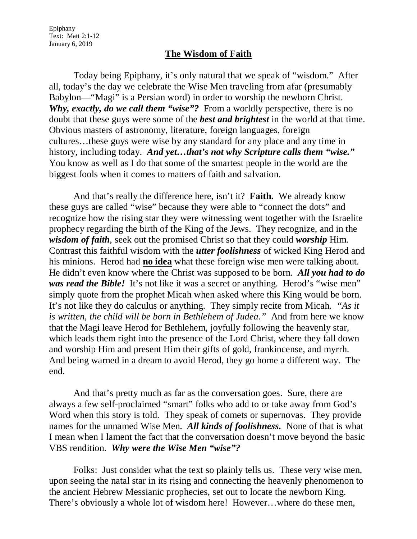Epiphany Text: Matt 2:1-12 January 6, 2019

## **The Wisdom of Faith**

Today being Epiphany, it's only natural that we speak of "wisdom." After all, today's the day we celebrate the Wise Men traveling from afar (presumably Babylon—"Magi" is a Persian word) in order to worship the newborn Christ. *Why, exactly, do we call them "wise"?* From a worldly perspective, there is no doubt that these guys were some of the *best and brightest* in the world at that time. Obvious masters of astronomy, literature, foreign languages, foreign cultures…these guys were wise by any standard for any place and any time in history, including today. *And yet…that's not why Scripture calls them "wise."* You know as well as I do that some of the smartest people in the world are the biggest fools when it comes to matters of faith and salvation.

And that's really the difference here, isn't it? **Faith.** We already know these guys are called "wise" because they were able to "connect the dots" and recognize how the rising star they were witnessing went together with the Israelite prophecy regarding the birth of the King of the Jews. They recognize, and in the *wisdom of faith*, seek out the promised Christ so that they could *worship* Him. Contrast this faithful wisdom with the *utter foolishness* of wicked King Herod and his minions. Herod had **no idea** what these foreign wise men were talking about. He didn't even know where the Christ was supposed to be born. *All you had to do was read the Bible!* It's not like it was a secret or anything. Herod's "wise men" simply quote from the prophet Micah when asked where this King would be born. It's not like they do calculus or anything. They simply recite from Micah. *"As it is written, the child will be born in Bethlehem of Judea."* And from here we know that the Magi leave Herod for Bethlehem, joyfully following the heavenly star, which leads them right into the presence of the Lord Christ, where they fall down and worship Him and present Him their gifts of gold, frankincense, and myrrh. And being warned in a dream to avoid Herod, they go home a different way. The end.

And that's pretty much as far as the conversation goes. Sure, there are always a few self-proclaimed "smart" folks who add to or take away from God's Word when this story is told. They speak of comets or supernovas. They provide names for the unnamed Wise Men. *All kinds of foolishness.* None of that is what I mean when I lament the fact that the conversation doesn't move beyond the basic VBS rendition. *Why were the Wise Men "wise"?* 

Folks: Just consider what the text so plainly tells us. These very wise men, upon seeing the natal star in its rising and connecting the heavenly phenomenon to the ancient Hebrew Messianic prophecies, set out to locate the newborn King. There's obviously a whole lot of wisdom here! However…where do these men,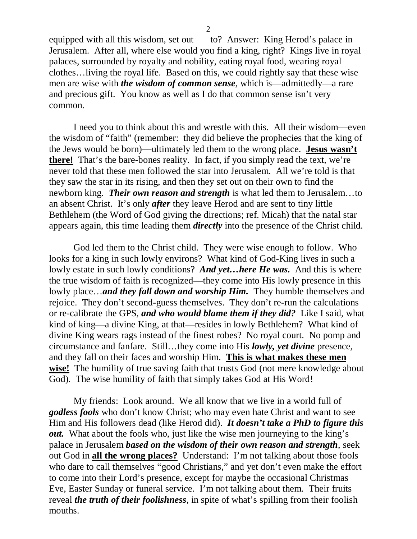equipped with all this wisdom, set out to? Answer: King Herod's palace in Jerusalem. After all, where else would you find a king, right? Kings live in royal palaces, surrounded by royalty and nobility, eating royal food, wearing royal clothes…living the royal life. Based on this, we could rightly say that these wise men are wise with *the wisdom of common sense*, which is—admittedly—a rare and precious gift. You know as well as I do that common sense isn't very common.

I need you to think about this and wrestle with this. All their wisdom—even the wisdom of "faith" (remember: they did believe the prophecies that the king of the Jews would be born)—ultimately led them to the wrong place. **Jesus wasn't there!** That's the bare-bones reality. In fact, if you simply read the text, we're never told that these men followed the star into Jerusalem. All we're told is that they saw the star in its rising, and then they set out on their own to find the newborn king. *Their own reason and strength* is what led them to Jerusalem…to an absent Christ. It's only *after* they leave Herod and are sent to tiny little Bethlehem (the Word of God giving the directions; ref. Micah) that the natal star appears again, this time leading them *directly* into the presence of the Christ child.

God led them to the Christ child. They were wise enough to follow. Who looks for a king in such lowly environs? What kind of God-King lives in such a lowly estate in such lowly conditions? *And yet…here He was.* And this is where the true wisdom of faith is recognized—they come into His lowly presence in this lowly place…*and they fall down and worship Him.* They humble themselves and rejoice. They don't second-guess themselves. They don't re-run the calculations or re-calibrate the GPS, *and who would blame them if they did?* Like I said, what kind of king—a divine King, at that—resides in lowly Bethlehem? What kind of divine King wears rags instead of the finest robes? No royal court. No pomp and circumstance and fanfare. Still…they come into His *lowly, yet divine* presence, and they fall on their faces and worship Him. **This is what makes these men wise!** The humility of true saving faith that trusts God (not mere knowledge about God). The wise humility of faith that simply takes God at His Word!

My friends: Look around. We all know that we live in a world full of *godless fools* who don't know Christ; who may even hate Christ and want to see Him and His followers dead (like Herod did). *It doesn't take a PhD to figure this out.* What about the fools who, just like the wise men journeying to the king's palace in Jerusalem *based on the wisdom of their own reason and strength*, seek out God in **all the wrong places?** Understand: I'm not talking about those fools who dare to call themselves "good Christians," and yet don't even make the effort to come into their Lord's presence, except for maybe the occasional Christmas Eve, Easter Sunday or funeral service. I'm not talking about them. Their fruits reveal *the truth of their foolishness*, in spite of what's spilling from their foolish mouths.